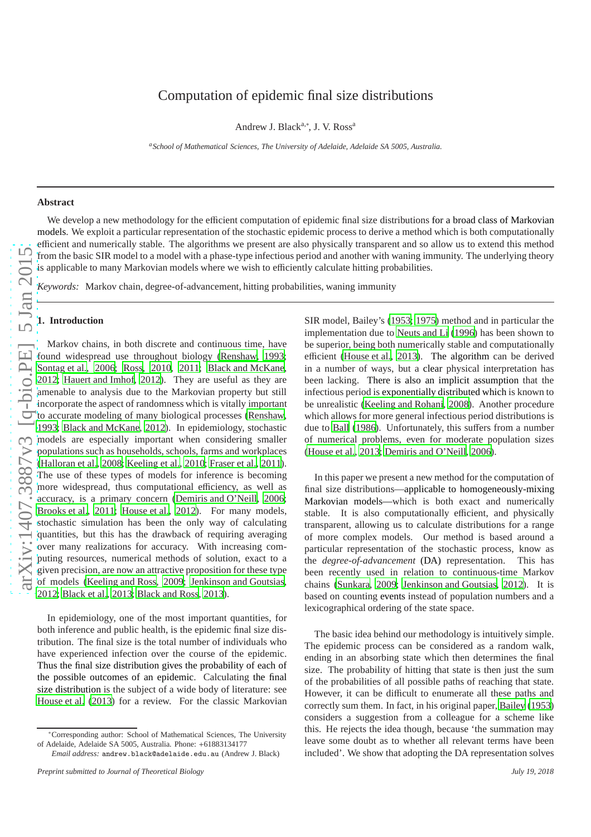# Computation of epidemic final size distributions

Andrew J. Black<sup>a,\*</sup>, J. V. Ross<sup>a</sup>

*<sup>a</sup>School of Mathematical Sciences, The University of Adelaide, Adelaide SA 5005, Australia.*

## **Abstract**

We develop a new methodology for the efficient computation of epidemic final size distributions for a broad class of Markovian models. We exploit a particular representation of the stochastic epidemic process to derive a method which is both computationally efficient and numerically stable. The algorithms we present are also physically transparent and so allow us to extend this method from the basic SIR model to a model with a phase-type infectious period and another with waning immunity. The underlying theory is applicable to many Markovian models where we wish to e is applicable to many Markovian models where we wish to efficiently calculate hitting probabilities.

*Keywords:* Markov chain, degree-of-advancement, hitting probabilities, waning immunity

#### **1. Introduction**

Markov chains, in both discrete and continuous time, have found widespread use throughout biology [\(Renshaw, 1993;](#page-7-0) [Sontag et al.](#page-7-1), [2006;](#page-7-1) [Ross, 2010](#page-7-2), [2011;](#page-7-3) [Black and McKane](#page-7-4), [2012;](#page-7-4) [Hauert and Imhof](#page-7-5), [2012\)](#page-7-5). They are useful as they are amenable to analysis due to the Markovian property but still incorporate the aspect of randomness which is vitally important to accurate modeling of many biological processes [\(Renshaw](#page-7-0) , [1993;](#page-7-0) [Black and McKane, 2012](#page-7-4)). In epidemiology, stochastic models are especially important when considering smaller populations such as households, schools, farms and workplaces [\(Halloran et al., 2008;](#page-7-6) [Keeling et al., 2010;](#page-7-7) [Fraser et al.](#page-7-8), [2011\)](#page-7-8). The use of these types of models for inference is becoming more widespread, thus computational e fficiency, as well as accuracy, is a primary concern [\(Demiris and O'Neill, 2006;](#page-7-9) [Brooks et al.](#page-7-10), [2011;](#page-7-10) [House et al.](#page-7-11), [2012](#page-7-11)). For many models, stochastic simulation has been the only way of calculating quantities, but this has the drawback of requiring averagin g over many realizations for accuracy. With increasing computing resources, numerical methods of solution, exact to a given precision, are now an attractive proposition for these type of models [\(Keeling and Ross](#page-7-12), [2009;](#page-7-12) [Jenkinson and Goutsias](#page-7-13), [2012;](#page-7-13) [Black et al., 2013;](#page-7-14) [Black and Ross](#page-7-15), [2013](#page-7-15)).

In epidemiology, one of the most important quantities, for both inference and public health, is the epidemic final size distribution. The final size is the total number of individuals who have experienced infection over the course of the epidemic. Thus the final size distribution gives the probability of each of the possible outcomes of an epidemic. Calculating the final size distribution is the subject of a wide body of literature: see [House et al. \(2013\)](#page-7-16) for a review. For the classic Markovian

SIR model, Bailey's [\(1953;](#page-7-17) [1975\)](#page-7-18) method and in particular th e implementation due to [Neuts and Li \(1996\)](#page-7-19) has been shown to be superior, being both numerically stable and computationally efficient [\(House et al.](#page-7-16), [2013](#page-7-16)). The algorithm can be derived in a number of ways, but a clear physical interpretation has been lacking. There is also an implicit assumption that the infectious period is exponentially distributed which is known to be unrealistic [\(Keeling and Rohani](#page-7-20), [2008\)](#page-7-20). Another procedure which allows for more general infectious period distributions is due to [Ball \(1986\)](#page-7-21). Unfortunately, this suffers from a number of numerical problems, even for moderate population sizes [\(House et al.](#page-7-16), [2013](#page-7-16); [Demiris and O'Neill](#page-7-9), [2006](#page-7-9)).

In this paper we present a new method for the computation of final size distributions—applicable to homogeneously-mixing Markovian models—which is both exact and numerically stable. It is also computationally e fficient, and physically transparent, allowing us to calculate distributions for a range of more complex models. Our method is based around a particular representation of the stochastic process, know as the *degree-of-advancement* (DA) representation. This has been recently used in relation to continuous-time Markov chains [\(Sunkara](#page-7-22), [2009;](#page-7-22) [Jenkinson and Goutsias, 2012\)](#page-7-13). It is based on counting events instead of population numbers and a lexicographical ordering of the state space.

The basic idea behind our methodology is intuitively simple . The epidemic process can be considered as a random walk, ending in an absorbing state which then determines the final size. The probability of hitting that state is then just the sum of the probabilities of all possible paths of reaching that state. However, it can be di fficult to enumerate all these paths and correctly sum them. In fact, in his original paper, [Bailey \(1953\)](#page-7-17) considers a suggestion from a colleague for a scheme like this. He rejects the idea though, because 'the summation may leave some doubt as to whether all relevant terms have been included'. We show that adopting the DA representation solves

<sup>∗</sup>Corresponding author: School of Mathematical Sciences, The University of Adelaide, Adelaide SA 5005, Australia. Phone: +61883134177

*Email address:* andrew.black@adelaide.edu.au (Andrew J. Black)

*Preprint submitted to Journal of Theoretical Biology July 19, 2018*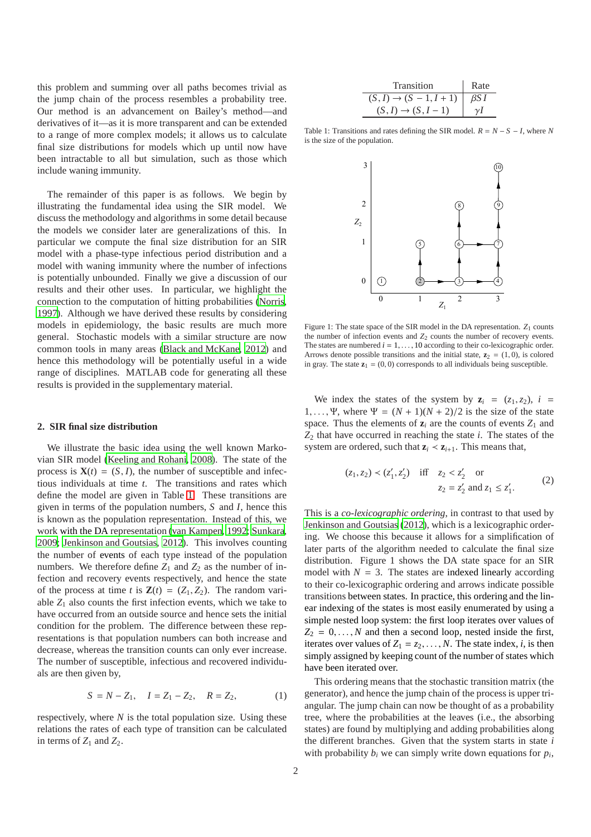this problem and summing over all paths becomes trivial as the jump chain of the process resembles a probability tree. Our method is an advancement on Bailey's method—and derivatives of it—as it is more transparent and can be extended to a range of more complex models; it allows us to calculate final size distributions for models which up until now have been intractable to all but simulation, such as those which include waning immunity.

The remainder of this paper is as follows. We begin by illustrating the fundamental idea using the SIR model. We discuss the methodology and algorithms in some detail because the models we consider later are generalizations of this. In particular we compute the final size distribution for an SIR model with a phase-type infectious period distribution and a model with waning immunity where the number of infections is potentially unbounded. Finally we give a discussion of our results and their other uses. In particular, we highlight the connection to the computation of hitting probabilities [\(Norris](#page-7-23), [1997\)](#page-7-23). Although we have derived these results by considering models in epidemiology, the basic results are much more general. Stochastic models with a similar structure are now common tools in many areas [\(Black and McKane](#page-7-4), [2012](#page-7-4)) and hence this methodology will be potentially useful in a wide range of disciplines. MATLAB code for generating all these results is provided in the supplementary material.

## **2. SIR final size distribution**

We illustrate the basic idea using the well known Markovian SIR model [\(Keeling and Rohani, 2008\)](#page-7-20). The state of the process is  $X(t) = (S, I)$ , the number of susceptible and infectious individuals at time *t*. The transitions and rates which define the model are given in Table [1.](#page-1-0) These transitions are given in terms of the population numbers, *S* and *I*, hence this is known as the population representation. Instead of this, we work with the DA representation [\(van Kampen, 1992;](#page-7-24) [Sunkara](#page-7-22), [2009;](#page-7-22) [Jenkinson and Goutsias, 2012\)](#page-7-13). This involves counting the number of events of each type instead of the population numbers. We therefore define  $Z_1$  and  $Z_2$  as the number of infection and recovery events respectively, and hence the state of the process at time *t* is  $\mathbf{Z}(t) = (Z_1, Z_2)$ . The random variable  $Z_1$  also counts the first infection events, which we take to have occurred from an outside source and hence sets the initial condition for the problem. The difference between these representations is that population numbers can both increase and decrease, whereas the transition counts can only ever increase. The number of susceptible, infectious and recovered individuals are then given by,

$$
S = N - Z_1, \quad I = Z_1 - Z_2, \quad R = Z_2,\tag{1}
$$

respectively, where  $N$  is the total population size. Using these relations the rates of each type of transition can be calculated in terms of  $Z_1$  and  $Z_2$ .

| Transition                          | Rate |
|-------------------------------------|------|
| $(S, I) \rightarrow (S - 1, I + 1)$ | BS I |
| $(S, I) \rightarrow (S, I - 1)$     |      |

Table 1: Transitions and rates defining the SIR model.  $R = N - S - I$ , where *N* is the size of the population.

<span id="page-1-0"></span>

<span id="page-1-1"></span>Figure 1: The state space of the SIR model in the DA representation.  $Z_1$  counts the number of infection events and  $Z_2$  counts the number of recovery events. The states are numbered  $i = 1, \ldots, 10$  according to their co-lexicographic order. Arrows denote possible transitions and the initial state,  $\mathbf{z}_2 = (1, 0)$ , is colored in gray. The state  $z_1 = (0, 0)$  corresponds to all individuals being susceptible.

We index the states of the system by  $z_i = (z_1, z_2), i =$ 1, ..., Ψ, where  $\Psi = (N + 1)(N + 2)/2$  is the size of the state space. Thus the elements of  $z_i$  are the counts of events  $Z_1$  and *Z*<sup>2</sup> that have occurred in reaching the state *i*. The states of the system are ordered, such that  $z_i \leq z_{i+1}$ . This means that,

$$
(z_1, z_2) < (z'_1, z'_2)
$$
 iff  $z_2 < z'_2$  or  
 $z_2 = z'_2$  and  $z_1 \le z'_1$ . (2)

This is a *co-lexicographic ordering*, in contrast to that used by [Jenkinson and Goutsias \(2012\)](#page-7-13), which is a lexicographic ordering. We choose this because it allows for a simplification of later parts of the algorithm needed to calculate the final size distribution. Figure 1 shows the DA state space for an SIR model with  $N = 3$ . The states are indexed linearly according to their co-lexicographic ordering and arrows indicate possible transitions between states. In practice, this ordering and the linear indexing of the states is most easily enumerated by using a simple nested loop system: the first loop iterates over values of  $Z_2 = 0, \ldots, N$  and then a second loop, nested inside the first, iterates over values of  $Z_1 = z_2, \ldots, N$ . The state index, *i*, is then simply assigned by keeping count of the number of states which have been iterated over.

This ordering means that the stochastic transition matrix (the generator), and hence the jump chain of the process is upper triangular. The jump chain can now be thought of as a probability tree, where the probabilities at the leaves (i.e., the absorbing states) are found by multiplying and adding probabilities along the different branches. Given that the system starts in state *i* with probability  $b_i$  we can simply write down equations for  $p_i$ ,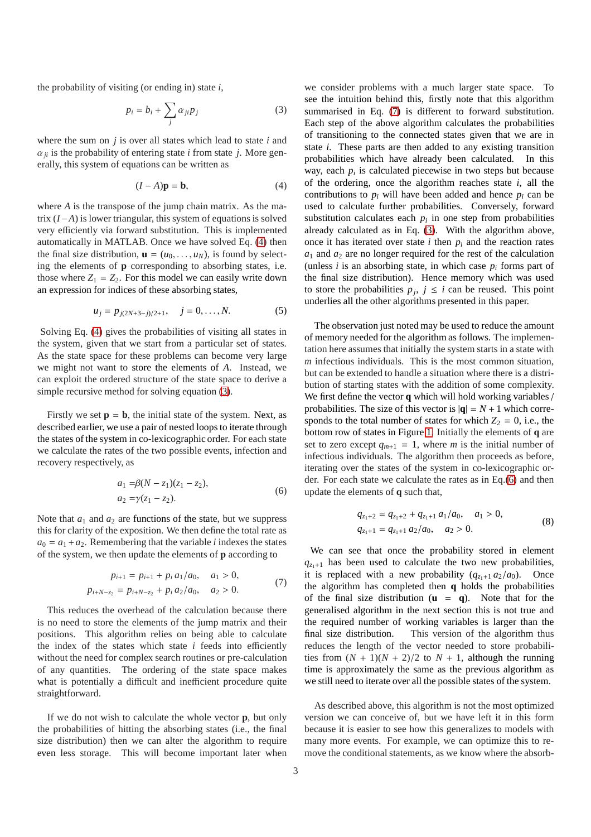the probability of visiting (or ending in) state *i*,

<span id="page-2-1"></span>
$$
p_i = b_i + \sum_j \alpha_{ji} p_j \tag{3}
$$

where the sum on *j* is over all states which lead to state *i* and  $\alpha_{ii}$  is the probability of entering state *i* from state *j*. More generally, this system of equations can be written as

<span id="page-2-0"></span>
$$
(I - A)\mathbf{p} = \mathbf{b},\tag{4}
$$

where *A* is the transpose of the jump chain matrix. As the matrix (*I*−*A*) is lower triangular, this system of equations is solved very efficiently via forward substitution. This is implemented automatically in MATLAB. Once we have solved Eq. [\(4\)](#page-2-0) then the final size distribution,  $\mathbf{u} = (u_0, \dots, u_N)$ , is found by selecting the elements of **p** corresponding to absorbing states, i.e. those where  $Z_1 = Z_2$ . For this model we can easily write down an expression for indices of these absorbing states,

$$
u_j = p_{j(2N+3-j)/2+1}, \quad j = 0, \dots, N. \tag{5}
$$

Solving Eq. [\(4\)](#page-2-0) gives the probabilities of visiting all states in the system, given that we start from a particular set of states. As the state space for these problems can become very large we might not want to store the elements of *A*. Instead, we can exploit the ordered structure of the state space to derive a simple recursive method for solving equation [\(3\)](#page-2-1).

Firstly we set  $\mathbf{p} = \mathbf{b}$ , the initial state of the system. Next, as described earlier, we use a pair of nested loops to iterate through the states of the system in co-lexicographic order. For each state we calculate the rates of the two possible events, infection and recovery respectively, as

<span id="page-2-3"></span>
$$
a_1 = \beta(N - z_1)(z_1 - z_2),
$$
  
\n
$$
a_2 = \gamma(z_1 - z_2).
$$
\n(6)

Note that  $a_1$  and  $a_2$  are functions of the state, but we suppress this for clarity of the exposition. We then define the total rate as  $a_0 = a_1 + a_2$ . Remembering that the variable *i* indexes the states of the system, we then update the elements of **p** according to

<span id="page-2-2"></span>
$$
p_{i+1} = p_{i+1} + p_i a_1/a_0, \quad a_1 > 0,
$$
  
\n
$$
p_{i+N-z_2} = p_{i+N-z_2} + p_i a_2/a_0, \quad a_2 > 0.
$$
 (7)

This reduces the overhead of the calculation because there is no need to store the elements of the jump matrix and their positions. This algorithm relies on being able to calculate the index of the states which state  $i$  feeds into efficiently without the need for complex search routines or pre-calculation of any quantities. The ordering of the state space makes what is potentially a difficult and inefficient procedure quite straightforward.

If we do not wish to calculate the whole vector **p**, but only the probabilities of hitting the absorbing states (i.e., the final size distribution) then we can alter the algorithm to require even less storage. This will become important later when we consider problems with a much larger state space. To see the intuition behind this, firstly note that this algorithm summarised in Eq. [\(7\)](#page-2-2) is different to forward substitution. Each step of the above algorithm calculates the probabilities of transitioning to the connected states given that we are in state *i*. These parts are then added to any existing transition probabilities which have already been calculated. In this way, each  $p_i$  is calculated piecewise in two steps but because of the ordering, once the algorithm reaches state *i*, all the contributions to  $p_i$  will have been added and hence  $p_i$  can be used to calculate further probabilities. Conversely, forward substitution calculates each  $p_i$  in one step from probabilities already calculated as in Eq. [\(3\)](#page-2-1). With the algorithm above, once it has iterated over state *i* then  $p_i$  and the reaction rates  $a_1$  and  $a_2$  are no longer required for the rest of the calculation (unless  $i$  is an absorbing state, in which case  $p_i$  forms part of the final size distribution). Hence memory which was used to store the probabilities  $p_j$ ,  $j \leq i$  can be reused. This point underlies all the other algorithms presented in this paper.

The observation just noted may be used to reduce the amount of memory needed for the algorithm as follows. The implementation here assumes that initially the system starts in a state with *m* infectious individuals. This is the most common situation, but can be extended to handle a situation where there is a distribution of starting states with the addition of some complexity. We first define the vector **q** which will hold working variables / probabilities. The size of this vector is  $|q| = N + 1$  which corresponds to the total number of states for which  $Z_2 = 0$ , i.e., the bottom row of states in Figure [1.](#page-1-1) Initially the elements of **q** are set to zero except  $q_{m+1} = 1$ , where *m* is the initial number of infectious individuals. The algorithm then proceeds as before, iterating over the states of the system in co-lexicographic order. For each state we calculate the rates as in Eq.[\(6\)](#page-2-3) and then update the elements of **q** such that,

<span id="page-2-4"></span>
$$
q_{z_1+2} = q_{z_1+2} + q_{z_1+1} a_1/a_0, \quad a_1 > 0,
$$
  
\n
$$
q_{z_1+1} = q_{z_1+1} a_2/a_0, \quad a_2 > 0.
$$
\n(8)

We can see that once the probability stored in element  $q_{z+1}$  has been used to calculate the two new probabilities, it is replaced with a new probability  $(q_{z_1+1} a_2/a_0)$ . Once the algorithm has completed then **q** holds the probabilities of the final size distribution  $(\mathbf{u} = \mathbf{q})$ . Note that for the generalised algorithm in the next section this is not true and the required number of working variables is larger than the final size distribution. This version of the algorithm thus reduces the length of the vector needed to store probabilities from  $(N + 1)(N + 2)/2$  to  $N + 1$ , although the running time is approximately the same as the previous algorithm as we still need to iterate over all the possible states of the system.

As described above, this algorithm is not the most optimized version we can conceive of, but we have left it in this form because it is easier to see how this generalizes to models with many more events. For example, we can optimize this to remove the conditional statements, as we know where the absorb-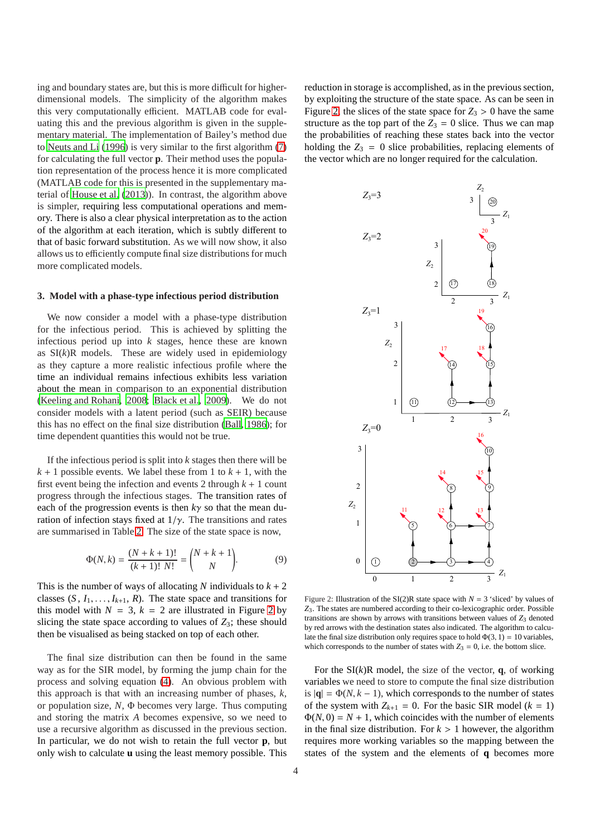ing and boundary states are, but this is more difficult for higherdimensional models. The simplicity of the algorithm makes this very computationally efficient. MATLAB code for evaluating this and the previous algorithm is given in the supplementary material. The implementation of Bailey's method due to [Neuts and Li](#page-7-19) [\(1996\)](#page-7-19) is very similar to the first algorithm [\(7\)](#page-2-2) for calculating the full vector **p**. Their method uses the population representation of the process hence it is more complicated (MATLAB code for this is presented in the supplementary material of [House et al. \(2013\)](#page-7-16)). In contrast, the algorithm above is simpler, requiring less computational operations and memory. There is also a clear physical interpretation as to the action of the algorithm at each iteration, which is subtly different to that of basic forward substitution. As we will now show, it also allows us to efficiently compute final size distributions for much more complicated models.

#### **3. Model with a phase-type infectious period distribution**

We now consider a model with a phase-type distribution for the infectious period. This is achieved by splitting the infectious period up into *k* stages, hence these are known as  $SI(k)R$  models. These are widely used in epidemiology as they capture a more realistic infectious profile where the time an individual remains infectious exhibits less variation about the mean in comparison to an exponential distribution [\(Keeling and Rohani](#page-7-20), [2008;](#page-7-20) [Black et al.](#page-7-25), [2009\)](#page-7-25). We do not consider models with a latent period (such as SEIR) because this has no effect on the final size distribution [\(Ball](#page-7-21), [1986](#page-7-21)); for time dependent quantities this would not be true.

If the infectious period is split into *k* stages then there will be  $k + 1$  possible events. We label these from 1 to  $k + 1$ , with the first event being the infection and events 2 through  $k + 1$  count progress through the infectious stages. The transition rates of each of the progression events is then *k*γ so that the mean duration of infection stays fixed at  $1/\gamma$ . The transitions and rates are summarised in Table [2.](#page-4-0) The size of the state space is now,

<span id="page-3-1"></span>
$$
\Phi(N,k) = \frac{(N+k+1)!}{(k+1)! \, N!} = \binom{N+k+1}{N}.\tag{9}
$$

This is the number of ways of allocating N individuals to  $k + 2$ classes  $(S, I_1, \ldots, I_{k+1}, R)$ . The state space and transitions for this model with  $N = 3$ ,  $k = 2$  $k = 2$  are illustrated in Figure 2 by slicing the state space according to values of  $Z_3$ ; these should then be visualised as being stacked on top of each other.

The final size distribution can then be found in the same way as for the SIR model, by forming the jump chain for the process and solving equation [\(4\)](#page-2-0). An obvious problem with this approach is that with an increasing number of phases, *k*, or population size, *N*, Φ becomes very large. Thus computing and storing the matrix *A* becomes expensive, so we need to use a recursive algorithm as discussed in the previous section. In particular, we do not wish to retain the full vector **p**, but only wish to calculate **u** using the least memory possible. This

reduction in storage is accomplished, as in the previous section, by exploiting the structure of the state space. As can be seen in Figure [2,](#page-3-0) the slices of the state space for  $Z_3 > 0$  have the same structure as the top part of the  $Z_3 = 0$  slice. Thus we can map the probabilities of reaching these states back into the vector holding the  $Z_3 = 0$  slice probabilities, replacing elements of the vector which are no longer required for the calculation.



<span id="page-3-0"></span>Figure 2: Illustration of the SI(2)R state space with  $N = 3$  'sliced' by values of *Z*3. The states are numbered according to their co-lexicographic order. Possible transitions are shown by arrows with transitions between values of  $Z_3$  denoted by red arrows with the destination states also indicated. The algorithm to calculate the final size distribution only requires space to hold  $\Phi(3, 1) = 10$  variables, which corresponds to the number of states with  $Z_3 = 0$ , i.e. the bottom slice.

For the  $SI(k)R$  model, the size of the vector, **q**, of working variables we need to store to compute the final size distribution is  $|\mathbf{q}| = \Phi(N, k-1)$ , which corresponds to the number of states of the system with  $Z_{k+1} = 0$ . For the basic SIR model ( $k = 1$ )  $\Phi(N, 0) = N + 1$ , which coincides with the number of elements in the final size distribution. For  $k > 1$  however, the algorithm requires more working variables so the mapping between the states of the system and the elements of **q** becomes more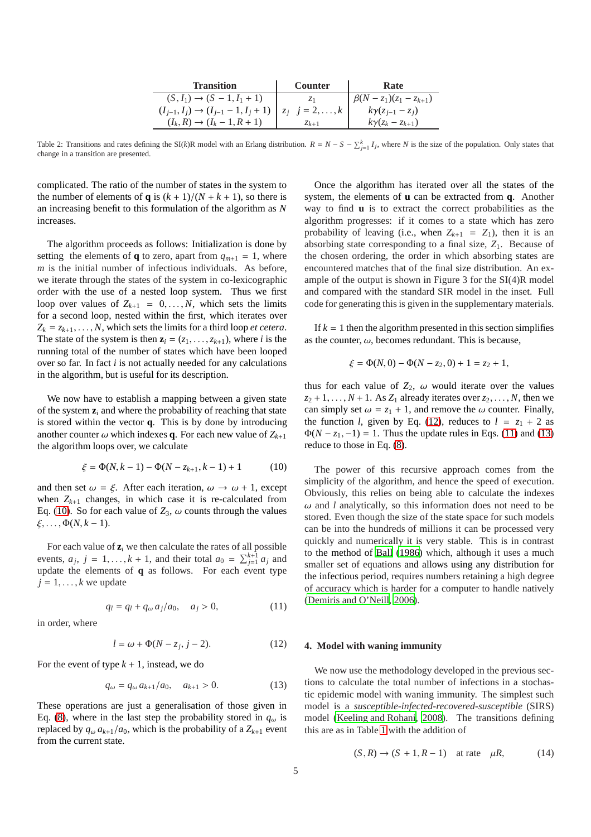| <b>Transition</b>                                                        | <b>Counter</b>      | Rate                        |
|--------------------------------------------------------------------------|---------------------|-----------------------------|
| $(S, I_1) \rightarrow (S - 1, I_1 + 1)$                                  |                     | $\beta(N-z_1)(z_1-z_{k+1})$ |
| $(I_{j-1}, I_j) \rightarrow (I_{j-1} - 1, I_j + 1)$ $  z_j   j = 2, , k$ |                     | $k\gamma(z_{i-1}-z_i)$      |
| $(I_k, R) \to (I_k - 1, R + 1)$                                          | $\mathcal{Z}_{k+1}$ | $k\gamma(z_k-z_{k+1})$      |

<span id="page-4-0"></span>Table 2: Transitions and rates defining the SI(k)R model with an Erlang distribution.  $R = N - S - \sum_{j=1}^{k} I_j$ , where N is the size of the population. Only states that change in a transition are presented.

complicated. The ratio of the number of states in the system to the number of elements of **q** is  $(k + 1)/(N + k + 1)$ , so there is an increasing benefit to this formulation of the algorithm as *N* increases.

The algorithm proceeds as follows: Initialization is done by setting the elements of **q** to zero, apart from  $q_{m+1} = 1$ , where *m* is the initial number of infectious individuals. As before, we iterate through the states of the system in co-lexicographic order with the use of a nested loop system. Thus we first loop over values of  $Z_{k+1} = 0, \ldots, N$ , which sets the limits for a second loop, nested within the first, which iterates over  $Z_k = z_{k+1}, \ldots, N$ , which sets the limits for a third loop *et cetera*. The state of the system is then  $z_i = (z_1, \ldots, z_{k+1})$ , where *i* is the running total of the number of states which have been looped over so far. In fact *i* is not actually needed for any calculations in the algorithm, but is useful for its description.

We now have to establish a mapping between a given state of the system  $z_i$  and where the probability of reaching that state is stored within the vector **q**. This is by done by introducing another counter  $\omega$  which indexes **q**. For each new value of  $Z_{k+1}$ the algorithm loops over, we calculate

<span id="page-4-1"></span>
$$
\xi = \Phi(N, k-1) - \Phi(N - z_{k+1}, k-1) + 1 \tag{10}
$$

and then set  $\omega = \xi$ . After each iteration,  $\omega \to \omega + 1$ , except when  $Z_{k+1}$  changes, in which case it is re-calculated from Eq. [\(10\)](#page-4-1). So for each value of  $Z_3$ ,  $\omega$  counts through the values  $\xi, \ldots, \Phi(N, k-1)$ .

For each value of  $z_i$  we then calculate the rates of all possible events,  $a_j$ ,  $j = 1, ..., k + 1$ , and their total  $a_0 = \sum_{j=1}^{k+1} a_j$  and update the elements of **q** as follows. For each event type  $j = 1, \ldots, k$  we update

<span id="page-4-3"></span>
$$
q_l = q_l + q_\omega a_j/a_0, \quad a_j > 0,
$$
 (11)

in order, where

<span id="page-4-2"></span>
$$
l = \omega + \Phi(N - z_j, j - 2). \tag{12}
$$

For the event of type  $k + 1$ , instead, we do

<span id="page-4-4"></span>
$$
q_{\omega} = q_{\omega} a_{k+1}/a_0, \quad a_{k+1} > 0.
$$
 (13)

These operations are just a generalisation of those given in Eq. [\(8\)](#page-2-4), where in the last step the probability stored in  $q_\omega$  is replaced by  $q_{\omega} a_{k+1}/a_0$ , which is the probability of a  $Z_{k+1}$  event from the current state.

Once the algorithm has iterated over all the states of the system, the elements of **u** can be extracted from **q**. Another way to find **u** is to extract the correct probabilities as the algorithm progresses: if it comes to a state which has zero probability of leaving (i.e., when  $Z_{k+1} = Z_1$ ), then it is an absorbing state corresponding to a final size, *Z*1. Because of the chosen ordering, the order in which absorbing states are encountered matches that of the final size distribution. An example of the output is shown in Figure 3 for the SI(4)R model and compared with the standard SIR model in the inset. Full code for generating this is given in the supplementary materials.

If  $k = 1$  then the algorithm presented in this section simplifies as the counter,  $\omega$ , becomes redundant. This is because,

$$
\xi = \Phi(N,0) - \Phi(N - z_2,0) + 1 = z_2 + 1,
$$

thus for each value of  $Z_2$ ,  $\omega$  would iterate over the values  $z_2 + 1, \ldots, N + 1$ . As  $Z_1$  already iterates over  $z_2, \ldots, N$ , then we can simply set  $\omega = z_1 + 1$ , and remove the  $\omega$  counter. Finally, the function *l*, given by Eq. [\(12\)](#page-4-2), reduces to  $l = z_1 + 2$  as  $\Phi(N - z_1, -1) = 1$ . Thus the update rules in Eqs. [\(11\)](#page-4-3) and [\(13\)](#page-4-4) reduce to those in Eq. [\(8\)](#page-2-4).

The power of this recursive approach comes from the simplicity of the algorithm, and hence the speed of execution. Obviously, this relies on being able to calculate the indexes  $\omega$  and *l* analytically, so this information does not need to be stored. Even though the size of the state space for such models can be into the hundreds of millions it can be processed very quickly and numerically it is very stable. This is in contrast to the method of [Ball \(1986](#page-7-21)) which, although it uses a much smaller set of equations and allows using any distribution for the infectious period, requires numbers retaining a high degree of accuracy which is harder for a computer to handle natively [\(Demiris and O'Neill, 2006\)](#page-7-9).

#### **4. Model with waning immunity**

We now use the methodology developed in the previous sections to calculate the total number of infections in a stochastic epidemic model with waning immunity. The simplest such model is a *susceptible-infected-recovered-susceptible* (SIRS) model [\(Keeling and Rohani, 2008](#page-7-20)). The transitions defining this are as in Table [1](#page-1-0) with the addition of

$$
(S, R) \to (S + 1, R - 1) \quad \text{at rate} \quad \mu R, \tag{14}
$$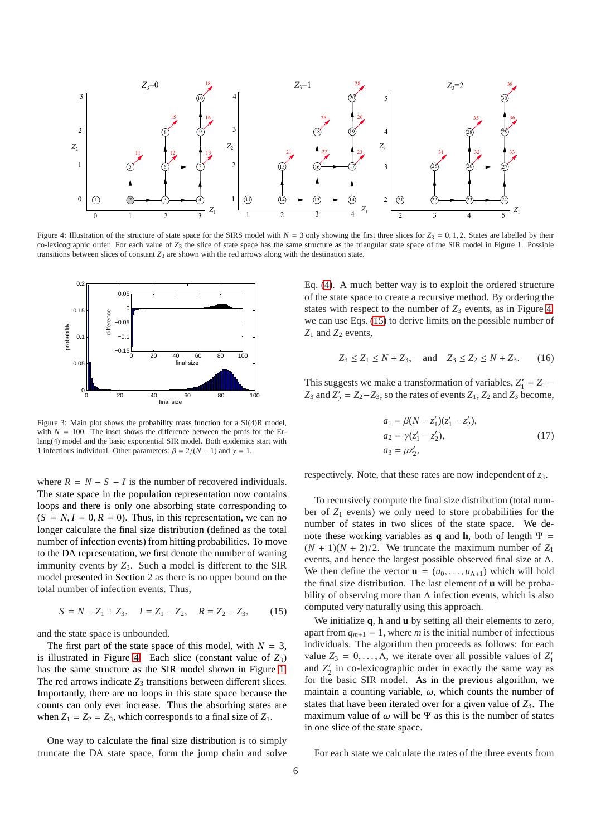

<span id="page-5-0"></span>Figure 4: Illustration of the structure of state space for the SIRS model with  $N = 3$  only showing the first three slices for  $Z_3 = 0, 1, 2$ . States are labelled by their co-lexicographic order. For each value of  $Z_3$  the slice of state space has the same structure as the triangular state space of the SIR model in Figure 1. Possible transitions between slices of constant *Z*<sup>3</sup> are shown with the red arrows along with the destination state.



Figure 3: Main plot shows the probability mass function for a SI(4)R model, with  $N = 100$ . The inset shows the difference between the pmfs for the Erlang(4) model and the basic exponential SIR model. Both epidemics start with 1 infectious individual. Other parameters:  $\beta = 2/(N - 1)$  and  $\gamma = 1$ .

where  $R = N - S - I$  is the number of recovered individuals. The state space in the population representation now contains loops and there is only one absorbing state corresponding to  $(S = N, I = 0, R = 0)$ . Thus, in this representation, we can no longer calculate the final size distribution (defined as the total number of infection events) from hitting probabilities. To move to the DA representation, we first denote the number of waning immunity events by  $Z_3$ . Such a model is different to the SIR model presented in Section 2 as there is no upper bound on the total number of infection events. Thus,

<span id="page-5-1"></span>
$$
S = N - Z_1 + Z_3, \quad I = Z_1 - Z_2, \quad R = Z_2 - Z_3,\tag{15}
$$

and the state space is unbounded.

The first part of the state space of this model, with  $N = 3$ , is illustrated in Figure [4.](#page-5-0) Each slice (constant value of  $Z_3$ ) has the same structure as the SIR model shown in Figure [1.](#page-1-1) The red arrows indicate  $Z_3$  transitions between different slices. Importantly, there are no loops in this state space because the counts can only ever increase. Thus the absorbing states are when  $Z_1 = Z_2 = Z_3$ , which corresponds to a final size of  $Z_1$ .

One way to calculate the final size distribution is to simply truncate the DA state space, form the jump chain and solve Eq. [\(4\)](#page-2-0). A much better way is to exploit the ordered structure of the state space to create a recursive method. By ordering the states with respect to the number of  $Z_3$  events, as in Figure [4,](#page-5-0) we can use Eqs. [\(15\)](#page-5-1) to derive limits on the possible number of *Z*<sup>1</sup> and *Z*<sup>2</sup> events,

$$
Z_3 \le Z_1 \le N + Z_3
$$
, and  $Z_3 \le Z_2 \le N + Z_3$ . (16)

This suggests we make a transformation of variables,  $Z'_1 = Z_1 Z_3$  and  $Z'_2 = Z_2 - Z_3$ , so the rates of events  $Z_1$ ,  $Z_2$  and  $Z_3$  become,

<span id="page-5-2"></span>
$$
a_1 = \beta(N - z'_1)(z'_1 - z'_2),
$$
  
\n
$$
a_2 = \gamma(z'_1 - z'_2),
$$
  
\n
$$
a_3 = \mu z'_2,
$$
\n(17)

respectively. Note, that these rates are now independent of *z*3.

To recursively compute the final size distribution (total number of  $Z_1$  events) we only need to store probabilities for the number of states in two slices of the state space. We denote these working variables as **q** and **h**, both of length  $\Psi$  =  $(N + 1)(N + 2)/2$ . We truncate the maximum number of  $Z_1$ events, and hence the largest possible observed final size at Λ. We then define the vector  $\mathbf{u} = (u_0, \dots, u_{\Lambda+1})$  which will hold the final size distribution. The last element of **u** will be probability of observing more than  $\Lambda$  infection events, which is also computed very naturally using this approach.

We initialize **q**, **h** and **u** by setting all their elements to zero, apart from  $q_{m+1} = 1$ , where *m* is the initial number of infectious individuals. The algorithm then proceeds as follows: for each value  $Z_3 = 0, \ldots, \Lambda$ , we iterate over all possible values of  $Z'_1$ and  $Z'_2$  in co-lexicographic order in exactly the same way as for the basic SIR model. As in the previous algorithm, we maintain a counting variable,  $\omega$ , which counts the number of states that have been iterated over for a given value of  $Z_3$ . The maximum value of  $\omega$  will be  $\Psi$  as this is the number of states in one slice of the state space.

For each state we calculate the rates of the three events from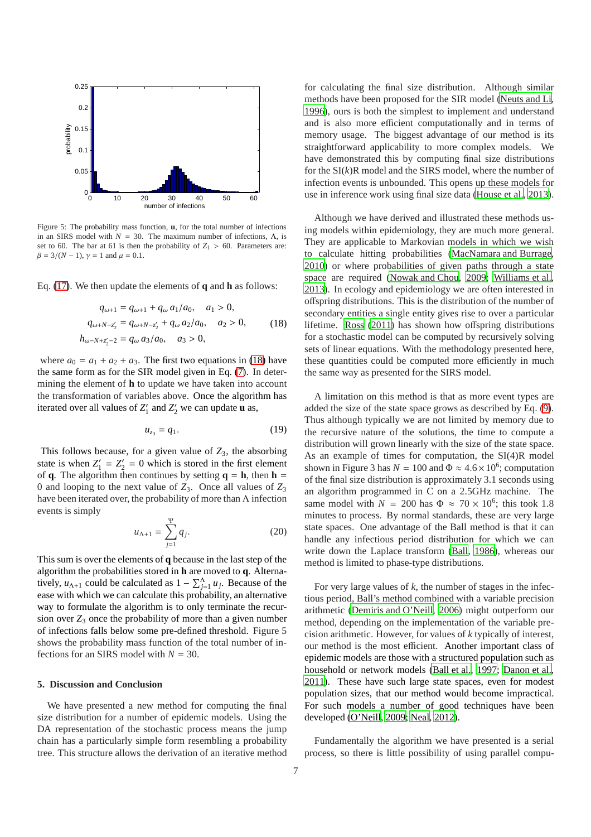

Figure 5: The probability mass function, **u**, for the total number of infections in an SIRS model with  $N = 30$ . The maximum number of infections, Λ, is set to 60. The bar at 61 is then the probability of  $Z_1 > 60$ . Parameters are:  $\beta = 3/(N - 1)$ ,  $\gamma = 1$  and  $\mu = 0.1$ .

Eq. [\(17\)](#page-5-2). We then update the elements of **q** and **h** as follows:

<span id="page-6-0"></span>
$$
q_{\omega+1} = q_{\omega+1} + q_{\omega} a_1/a_0, \quad a_1 > 0,
$$
  
\n
$$
q_{\omega+N-z'_2} = q_{\omega+N-z'_2} + q_{\omega} a_2/a_0, \quad a_2 > 0,
$$
  
\n
$$
h_{\omega-N+z'_2-2} = q_{\omega} a_3/a_0, \quad a_3 > 0,
$$
\n(18)

where  $a_0 = a_1 + a_2 + a_3$ . The first two equations in [\(18\)](#page-6-0) have the same form as for the SIR model given in Eq. [\(7\)](#page-2-2). In determining the element of **h** to update we have taken into account the transformation of variables above. Once the algorithm has iterated over all values of  $Z'_1$  and  $Z'_2$  we can update **u** as,

$$
u_{z_3} = q_1. \t\t(19)
$$

This follows because, for a given value of  $Z_3$ , the absorbing state is when  $Z'_1 = Z'_2 = 0$  which is stored in the first element of **q**. The algorithm then continues by setting  $q = h$ , then  $h =$ 0 and looping to the next value of *Z*3. Once all values of *Z*<sup>3</sup> have been iterated over, the probability of more than  $\Lambda$  infection events is simply

$$
u_{\Lambda+1} = \sum_{j=1}^{\Psi} q_j.
$$
 (20)

This sum is over the elements of **q** because in the last step of the algorithm the probabilities stored in **h** are moved to **q**. Alternatively,  $u_{\Lambda+1}$  could be calculated as  $1 - \sum_{j=1}^{\Lambda} u_j$ . Because of the ease with which we can calculate this probability, an alternative way to formulate the algorithm is to only terminate the recursion over  $Z_3$  once the probability of more than a given number of infections falls below some pre-defined threshold. Figure 5 shows the probability mass function of the total number of infections for an SIRS model with *N* = 30.

## **5. Discussion and Conclusion**

We have presented a new method for computing the final size distribution for a number of epidemic models. Using the DA representation of the stochastic process means the jump chain has a particularly simple form resembling a probability tree. This structure allows the derivation of an iterative method

for calculating the final size distribution. Although similar methods have been proposed for the SIR model [\(Neuts and Li](#page-7-19), [1996\)](#page-7-19), ours is both the simplest to implement and understand and is also more efficient computationally and in terms of memory usage. The biggest advantage of our method is its straightforward applicability to more complex models. We have demonstrated this by computing final size distributions for the SI(*k*)R model and the SIRS model, where the number of infection events is unbounded. This opens up these models for use in inference work using final size data [\(House et al., 2013\)](#page-7-16).

Although we have derived and illustrated these methods using models within epidemiology, they are much more general. They are applicable to Markovian models in which we wish to calculate hitting probabilities [\(MacNamara and Burrage](#page-7-26), [2010\)](#page-7-26) or where probabilities of given paths through a state space are required [\(Nowak and Chou, 2009;](#page-7-27) [Williams et al.](#page-7-28), [2013\)](#page-7-28). In ecology and epidemiology we are often interested in offspring distributions. This is the distribution of the number of secondary entities a single entity gives rise to over a particular lifetime. [Ross](#page-7-3) [\(2011\)](#page-7-3) has shown how offspring distributions for a stochastic model can be computed by recursively solving sets of linear equations. With the methodology presented here, these quantities could be computed more efficiently in much the same way as presented for the SIRS model.

A limitation on this method is that as more event types are added the size of the state space grows as described by Eq. [\(9\)](#page-3-1). Thus although typically we are not limited by memory due to the recursive nature of the solutions, the time to compute a distribution will grown linearly with the size of the state space. As an example of times for computation, the SI(4)R model shown in Figure 3 has  $N = 100$  and  $\Phi \approx 4.6 \times 10^6$ ; computation of the final size distribution is approximately 3.1 seconds using an algorithm programmed in C on a 2.5GHz machine. The same model with  $N = 200$  has  $\Phi \approx 70 \times 10^6$ ; this took 1.8 minutes to process. By normal standards, these are very large state spaces. One advantage of the Ball method is that it can handle any infectious period distribution for which we can write down the Laplace transform [\(Ball](#page-7-21), [1986\)](#page-7-21), whereas our method is limited to phase-type distributions.

For very large values of *k*, the number of stages in the infectious period, Ball's method combined with a variable precision arithmetic [\(Demiris and O'Neill, 2006](#page-7-9)) might outperform our method, depending on the implementation of the variable precision arithmetic. However, for values of *k* typically of interest, our method is the most efficient. Another important class of epidemic models are those with a structured population such as household or network models [\(Ball et al., 1997](#page-7-29); [Danon et al.](#page-7-30), [2011\)](#page-7-30). These have such large state spaces, even for modest population sizes, that our method would become impractical. For such models a number of good techniques have been developed [\(O'Neill, 2009](#page-7-31); [Neal](#page-7-32), [2012\)](#page-7-32).

Fundamentally the algorithm we have presented is a serial process, so there is little possibility of using parallel compu-